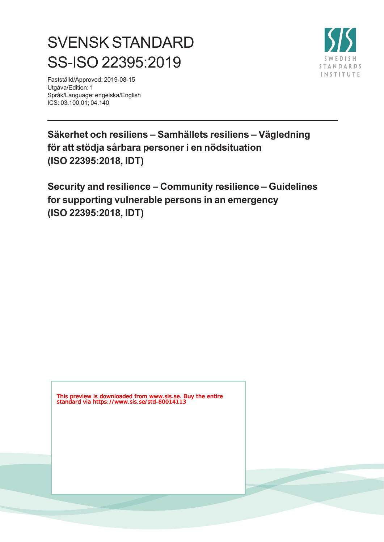# SVENSK STANDARD SS-ISO 22395:2019

Fastställd/Approved: 2019-08-15 Utgåva/Edition: 1 Språk/Language: engelska/English ICS: 03.100.01; 04.140



**Säkerhet och resiliens – Samhällets resiliens – Vägledning för att stödja sårbara personer i en nödsituation (ISO 22395:2018, IDT)**

**Security and resilience – Community resilience – Guidelines for supporting vulnerable persons in an emergency (ISO 22395:2018, IDT)**

This preview is downloaded from www.sis.se. Buy the entire standard via https://www.sis.se/std-80014113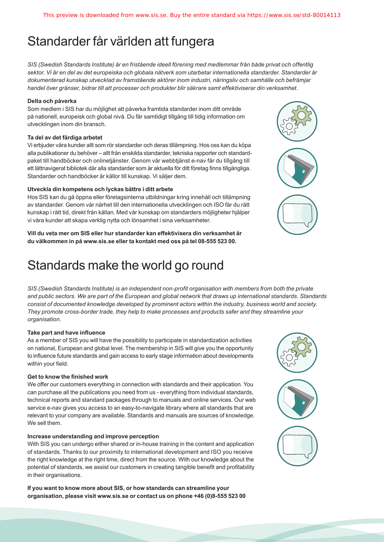# Standarder får världen att fungera

*SIS (Swedish Standards Institute) är en fristående ideell förening med medlemmar från både privat och offentlig sektor. Vi är en del av det europeiska och globala nätverk som utarbetar internationella standarder. Standarder är dokumenterad kunskap utvecklad av framstående aktörer inom industri, näringsliv och samhälle och befrämjar handel över gränser, bidrar till att processer och produkter blir säkrare samt effektiviserar din verksamhet.* 

#### **Delta och påverka**

Som medlem i SIS har du möjlighet att påverka framtida standarder inom ditt område på nationell, europeisk och global nivå. Du får samtidigt tillgång till tidig information om utvecklingen inom din bransch.

#### **Ta del av det färdiga arbetet**

Vi erbjuder våra kunder allt som rör standarder och deras tillämpning. Hos oss kan du köpa alla publikationer du behöver – allt från enskilda standarder, tekniska rapporter och standardpaket till handböcker och onlinetjänster. Genom vår webbtjänst e-nav får du tillgång till ett lättnavigerat bibliotek där alla standarder som är aktuella för ditt företag finns tillgängliga. Standarder och handböcker är källor till kunskap. Vi säljer dem.

#### **Utveckla din kompetens och lyckas bättre i ditt arbete**

Hos SIS kan du gå öppna eller företagsinterna utbildningar kring innehåll och tillämpning av standarder. Genom vår närhet till den internationella utvecklingen och ISO får du rätt kunskap i rätt tid, direkt från källan. Med vår kunskap om standarders möjligheter hjälper vi våra kunder att skapa verklig nytta och lönsamhet i sina verksamheter.

**Vill du veta mer om SIS eller hur standarder kan effektivisera din verksamhet är du välkommen in på www.sis.se eller ta kontakt med oss på tel 08-555 523 00.**

# Standards make the world go round

*SIS (Swedish Standards Institute) is an independent non-profit organisation with members from both the private and public sectors. We are part of the European and global network that draws up international standards. Standards consist of documented knowledge developed by prominent actors within the industry, business world and society. They promote cross-border trade, they help to make processes and products safer and they streamline your organisation.*

#### **Take part and have influence**

As a member of SIS you will have the possibility to participate in standardization activities on national, European and global level. The membership in SIS will give you the opportunity to influence future standards and gain access to early stage information about developments within your field.

#### **Get to know the finished work**

We offer our customers everything in connection with standards and their application. You can purchase all the publications you need from us - everything from individual standards, technical reports and standard packages through to manuals and online services. Our web service e-nav gives you access to an easy-to-navigate library where all standards that are relevant to your company are available. Standards and manuals are sources of knowledge. We sell them.

#### **Increase understanding and improve perception**

With SIS you can undergo either shared or in-house training in the content and application of standards. Thanks to our proximity to international development and ISO you receive the right knowledge at the right time, direct from the source. With our knowledge about the potential of standards, we assist our customers in creating tangible benefit and profitability in their organisations.

**If you want to know more about SIS, or how standards can streamline your organisation, please visit www.sis.se or contact us on phone +46 (0)8-555 523 00**



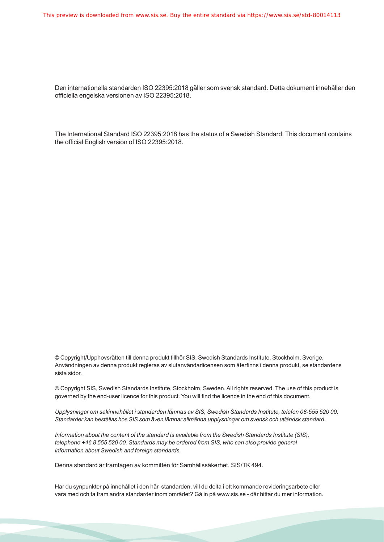Den internationella standarden ISO 22395:2018 gäller som svensk standard. Detta dokument innehåller den officiella engelska versionen av ISO 22395:2018.

The International Standard ISO 22395:2018 has the status of a Swedish Standard. This document contains the official English version of ISO 22395:2018.

© Copyright/Upphovsrätten till denna produkt tillhör SIS, Swedish Standards Institute, Stockholm, Sverige. Användningen av denna produkt regleras av slutanvändarlicensen som återfinns i denna produkt, se standardens sista sidor.

© Copyright SIS, Swedish Standards Institute, Stockholm, Sweden. All rights reserved. The use of this product is governed by the end-user licence for this product. You will find the licence in the end of this document.

*Upplysningar om sakinnehållet i standarden lämnas av SIS, Swedish Standards Institute, telefon 08-555 520 00. Standarder kan beställas hos SIS som även lämnar allmänna upplysningar om svensk och utländsk standard.*

*Information about the content of the standard is available from the Swedish Standards Institute (SIS), telephone +46 8 555 520 00. Standards may be ordered from SIS, who can also provide general information about Swedish and foreign standards.*

Denna standard är framtagen av kommittén för Samhällssäkerhet, SIS/TK 494.

Har du synpunkter på innehållet i den här standarden, vill du delta i ett kommande revideringsarbete eller vara med och ta fram andra standarder inom området? Gå in på www.sis.se - där hittar du mer information.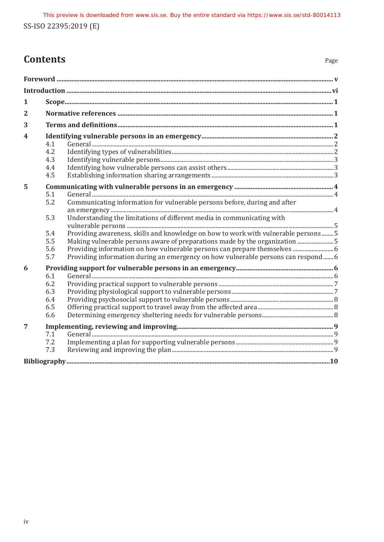# **Contents** Page

| 1 |                                                                                                                                                                                                                                                                                                                                                                                                                                                  |  |
|---|--------------------------------------------------------------------------------------------------------------------------------------------------------------------------------------------------------------------------------------------------------------------------------------------------------------------------------------------------------------------------------------------------------------------------------------------------|--|
| 2 |                                                                                                                                                                                                                                                                                                                                                                                                                                                  |  |
| 3 |                                                                                                                                                                                                                                                                                                                                                                                                                                                  |  |
| 4 | 4.1<br>4.2<br>4.3<br>4.4<br>4.5                                                                                                                                                                                                                                                                                                                                                                                                                  |  |
| 5 | 5.1<br>Communicating information for vulnerable persons before, during and after<br>5.2                                                                                                                                                                                                                                                                                                                                                          |  |
|   | Understanding the limitations of different media in communicating with<br>5.3<br>Providing awareness, skills and knowledge on how to work with vulnerable persons 5<br>5.4<br>5.5<br>Making vulnerable persons aware of preparations made by the organization  5<br>Providing information on how vulnerable persons can prepare themselves  6<br>5.6<br>Providing information during an emergency on how vulnerable persons can respond 6<br>5.7 |  |
| 6 | 6.1<br>6.2<br>6.3<br>6.4<br>6.5<br>6.6                                                                                                                                                                                                                                                                                                                                                                                                           |  |
| 7 | 7.1<br>7.2<br>7.3                                                                                                                                                                                                                                                                                                                                                                                                                                |  |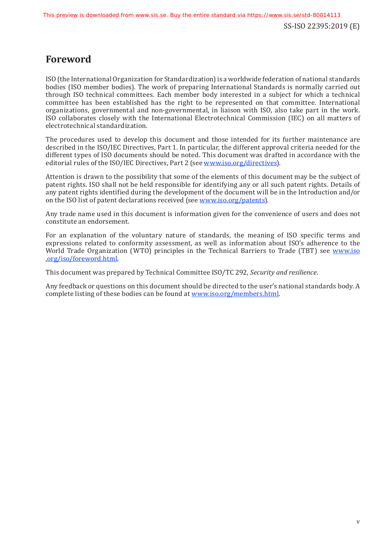# <span id="page-4-0"></span>**Foreword**

ISO (the International Organization for Standardization) is a worldwide federation of national standards bodies (ISO member bodies). The work of preparing International Standards is normally carried out through ISO technical committees. Each member body interested in a subject for which a technical committee has been established has the right to be represented on that committee. International organizations, governmental and non-governmental, in liaison with ISO, also take part in the work. ISO collaborates closely with the International Electrotechnical Commission (IEC) on all matters of electrotechnical standardization.

The procedures used to develop this document and those intended for its further maintenance are described in the ISO/IEC Directives, Part 1. In particular, the different approval criteria needed for the different types of ISO documents should be noted. This document was drafted in accordance with the editorial rules of the ISO/IEC Directives, Part 2 (see [www.iso.org/directives\)](https://www.iso.org/directives-and-policies.html).

Attention is drawn to the possibility that some of the elements of this document may be the subject of patent rights. ISO shall not be held responsible for identifying any or all such patent rights. Details of any patent rights identified during the development of the document will be in the Introduction and/or on the ISO list of patent declarations received (see [www.iso.org/patents](https://www.iso.org/iso-standards-and-patents.html)).

Any trade name used in this document is information given for the convenience of users and does not constitute an endorsement.

For an explanation of the voluntary nature of standards, the meaning of ISO specific terms and expressions related to conformity assessment, as well as information about ISO's adherence to the World Trade Organization (WTO) principles in the Technical Barriers to Trade (TBT) see [www.iso](https://www.iso.org/foreword-supplementary-information.html) [.org/iso/foreword.html](https://www.iso.org/foreword-supplementary-information.html).

This document was prepared by Technical Committee ISO/TC 292, *Security and resilience*.

Any feedback or questions on this document should be directed to the user's national standards body. A complete listing of these bodies can be found at [www.iso.org/members.html.](https://www.iso.org/members.html)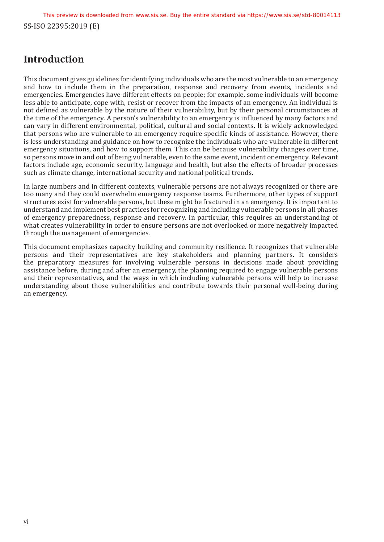SS-ISO 22395:2019 (E) This preview is downloaded from www.sis.se. Buy the entire standard via https://www.sis.se/std-80014113

# <span id="page-5-0"></span>**Introduction**

This document gives guidelines for identifying individuals who are the most vulnerable to an emergency and how to include them in the preparation, response and recovery from events, incidents and emergencies. Emergencies have different effects on people; for example, some individuals will become less able to anticipate, cope with, resist or recover from the impacts of an emergency. An individual is not defined as vulnerable by the nature of their vulnerability, but by their personal circumstances at the time of the emergency. A person's vulnerability to an emergency is influenced by many factors and can vary in different environmental, political, cultural and social contexts. It is widely acknowledged that persons who are vulnerable to an emergency require specific kinds of assistance. However, there is less understanding and guidance on how to recognize the individuals who are vulnerable in different emergency situations, and how to support them. This can be because vulnerability changes over time, so persons move in and out of being vulnerable, even to the same event, incident or emergency. Relevant factors include age, economic security, language and health, but also the effects of broader processes such as climate change, international security and national political trends.

In large numbers and in different contexts, vulnerable persons are not always recognized or there are too many and they could overwhelm emergency response teams. Furthermore, other types of support structures exist for vulnerable persons, but these might be fractured in an emergency. It is important to understand and implement best practices for recognizing and including vulnerable persons in all phases of emergency preparedness, response and recovery. In particular, this requires an understanding of what creates vulnerability in order to ensure persons are not overlooked or more negatively impacted through the management of emergencies.

This document emphasizes capacity building and community resilience. It recognizes that vulnerable persons and their representatives are key stakeholders and planning partners. It considers the preparatory measures for involving vulnerable persons in decisions made about providing assistance before, during and after an emergency, the planning required to engage vulnerable persons and their representatives, and the ways in which including vulnerable persons will help to increase understanding about those vulnerabilities and contribute towards their personal well-being during an emergency.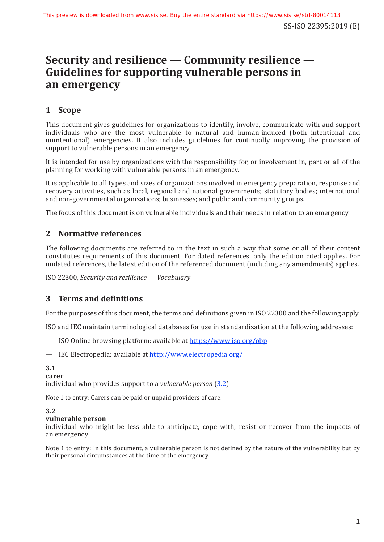# **Security and resilience — Community resilience — Guidelines for supporting vulnerable persons in an emergency**

# <span id="page-6-0"></span>**1 Scope**

This document gives guidelines for organizations to identify, involve, communicate with and support individuals who are the most vulnerable to natural and human-induced (both intentional and unintentional) emergencies. It also includes guidelines for continually improving the provision of support to vulnerable persons in an emergency.

It is intended for use by organizations with the responsibility for, or involvement in, part or all of the planning for working with vulnerable persons in an emergency.

It is applicable to all types and sizes of organizations involved in emergency preparation, response and recovery activities, such as local, regional and national governments; statutory bodies; international and non-governmental organizations; businesses; and public and community groups.

The focus of this document is on vulnerable individuals and their needs in relation to an emergency.

# <span id="page-6-1"></span>**2 Normative references**

The following documents are referred to in the text in such a way that some or all of their content constitutes requirements of this document. For dated references, only the edition cited applies. For undated references, the latest edition of the referenced document (including any amendments) applies.

ISO 22300, *Security and resilience — Vocabulary*

# <span id="page-6-2"></span>**3 Terms and definitions**

For the purposes of this document, the terms and definitions given in ISO 22300 and the following apply.

ISO and IEC maintain terminological databases for use in standardization at the following addresses:

- ISO Online browsing platform: available at [https://www.iso.org/obp](https://www.iso.org/obp/ui)
- IEC Electropedia: available at<http://www.electropedia.org/>

#### **3.1**

**carer**

individual who provides support to a *vulnerable person* ([3.2](#page-6-3))

Note 1 to entry: Carers can be paid or unpaid providers of care.

#### <span id="page-6-3"></span>**3.2**

#### **vulnerable person**

individual who might be less able to anticipate, cope with, resist or recover from the impacts of an emergency

Note 1 to entry: In this document, a vulnerable person is not defined by the nature of the vulnerability but by their personal circumstances at the time of the emergency.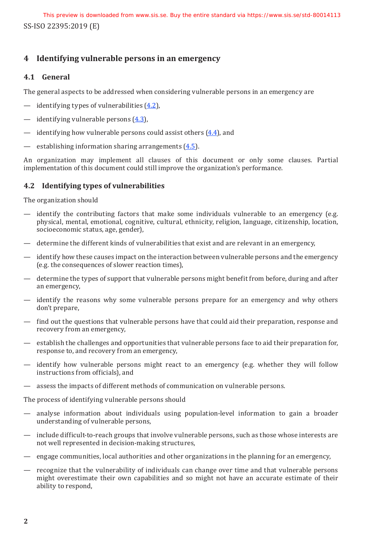# <span id="page-7-0"></span>**4 Identifying vulnerable persons in an emergency**

## <span id="page-7-1"></span>**4.1 General**

The general aspects to be addressed when considering vulnerable persons in an emergency are

- identifying types of vulnerabilities  $(4.2)$ ,
- identifying vulnerable persons  $(4.3)$  $(4.3)$ ,
- identifying how vulnerable persons could assist others  $(4.4)$  $(4.4)$ , and
- establishing information sharing arrangements  $(4.5)$ .

An organization may implement all clauses of this document or only some clauses. Partial implementation of this document could still improve the organization's performance.

# <span id="page-7-2"></span>**4.2 Identifying types of vulnerabilities**

The organization should

- identify the contributing factors that make some individuals vulnerable to an emergency (e.g. physical, mental, emotional, cognitive, cultural, ethnicity, religion, language, citizenship, location, socioeconomic status, age, gender),
- determine the different kinds of vulnerabilities that exist and are relevant in an emergency,
- identify how these causes impact on the interaction between vulnerable persons and the emergency (e.g. the consequences of slower reaction times),
- determine the types of support that vulnerable persons might benefit from before, during and after an emergency,
- identify the reasons why some vulnerable persons prepare for an emergency and why others don't prepare,
- find out the questions that vulnerable persons have that could aid their preparation, response and recovery from an emergency,
- establish the challenges and opportunities that vulnerable persons face to aid their preparation for, response to, and recovery from an emergency,
- identify how vulnerable persons might react to an emergency (e.g. whether they will follow instructions from officials), and
- assess the impacts of different methods of communication on vulnerable persons.

The process of identifying vulnerable persons should

- analyse information about individuals using population-level information to gain a broader understanding of vulnerable persons,
- include difficult-to-reach groups that involve vulnerable persons, such as those whose interests are not well represented in decision-making structures,
- engage communities, local authorities and other organizations in the planning for an emergency,
- recognize that the vulnerability of individuals can change over time and that vulnerable persons might overestimate their own capabilities and so might not have an accurate estimate of their ability to respond,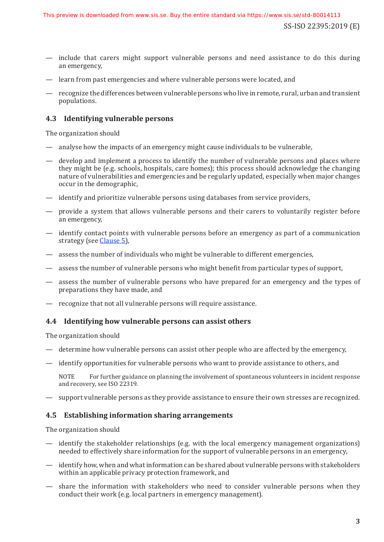SS-ISO 22395:2019 (E)

- include that carers might support vulnerable persons and need assistance to do this during an emergency,
- learn from past emergencies and where vulnerable persons were located, and
- recognize the differences between vulnerable persons who live in remote, rural, urban and transient populations.

# <span id="page-8-0"></span>**4.3 Identifying vulnerable persons**

The organization should

- analyse how the impacts of an emergency might cause individuals to be vulnerable,
- develop and implement a process to identify the number of vulnerable persons and places where they might be (e.g. schools, hospitals, care homes); this process should acknowledge the changing nature of vulnerabilities and emergencies and be regularly updated, especially when major changes occur in the demographic,
- identify and prioritize vulnerable persons using databases from service providers,
- provide a system that allows vulnerable persons and their carers to voluntarily register before an emergency,
- identify contact points with vulnerable persons before an emergency as part of a communication strategy (see [Clause](#page-9-0) 5),
- assess the number of individuals who might be vulnerable to different emergencies,
- assess the number of vulnerable persons who might benefit from particular types of support,
- assess the number of vulnerable persons who have prepared for an emergency and the types of preparations they have made, and
- recognize that not all vulnerable persons will require assistance.

## <span id="page-8-1"></span>**4.4 Identifying how vulnerable persons can assist others**

The organization should

- determine how vulnerable persons can assist other people who are affected by the emergency,
- identify opportunities for vulnerable persons who want to provide assistance to others, and

NOTE For further guidance on planning the involvement of spontaneous volunteers in incident response and recovery, see ISO 22319.

— support vulnerable persons as they provide assistance to ensure their own stresses are recognized.

#### <span id="page-8-2"></span>**4.5 Establishing information sharing arrangements**

The organization should

- identify the stakeholder relationships (e.g. with the local emergency management organizations) needed to effectively share information for the support of vulnerable persons in an emergency,
- identify how, when and what information can be shared about vulnerable persons with stakeholders within an applicable privacy protection framework, and
- share the information with stakeholders who need to consider vulnerable persons when they conduct their work (e.g. local partners in emergency management).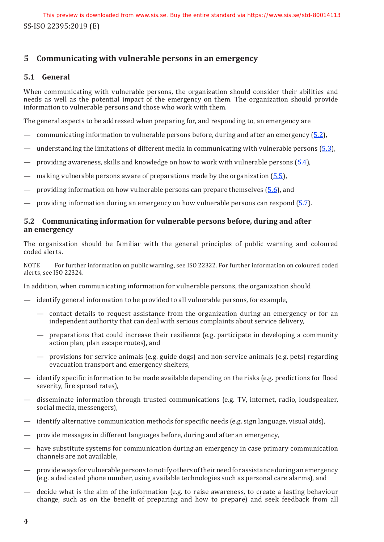# <span id="page-9-0"></span>**5 Communicating with vulnerable persons in an emergency**

### <span id="page-9-1"></span>**5.1 General**

When communicating with vulnerable persons, the organization should consider their abilities and needs as well as the potential impact of the emergency on them. The organization should provide information to vulnerable persons and those who work with them.

The general aspects to be addressed when preparing for, and responding to, an emergency are

- communicating information to vulnerable persons before, during and after an emergency  $(5.2)$  $(5.2)$ ,
- understanding the limitations of different media in communicating with vulnerable persons  $(5.3)$ ,
- providing awareness, skills and knowledge on how to work with vulnerable persons  $(5.4)$ ,
- making vulnerable persons aware of preparations made by the organization  $(5.5)$  $(5.5)$ ,
- providing information on how vulnerable persons can prepare themselves  $(5.6)$ , and
- providing information during an emergency on how vulnerable persons can respond  $(5.7)$ .

### <span id="page-9-2"></span>**5.2 Communicating information for vulnerable persons before, during and after an emergency**

The organization should be familiar with the general principles of public warning and coloured coded alerts.

NOTE For further information on public warning, see ISO 22322. For further information on coloured coded alerts, see ISO 22324.

In addition, when communicating information for vulnerable persons, the organization should

- identify general information to be provided to all vulnerable persons, for example,
	- contact details to request assistance from the organization during an emergency or for an independent authority that can deal with serious complaints about service delivery,
	- preparations that could increase their resilience (e.g. participate in developing a community action plan, plan escape routes), and
	- provisions for service animals (e.g. guide dogs) and non-service animals (e.g. pets) regarding evacuation transport and emergency shelters,
- identify specific information to be made available depending on the risks (e.g. predictions for flood severity, fire spread rates),
- disseminate information through trusted communications (e.g. TV, internet, radio, loudspeaker, social media, messengers),
- identify alternative communication methods for specific needs (e.g. sign language, visual aids),
- provide messages in different languages before, during and after an emergency,
- have substitute systems for communication during an emergency in case primary communication channels are not available,
- provide ways for vulnerable persons to notify others of their need for assistance during an emergency (e.g. a dedicated phone number, using available technologies such as personal care alarms), and
- decide what is the aim of the information (e.g. to raise awareness, to create a lasting behaviour change, such as on the benefit of preparing and how to prepare) and seek feedback from all